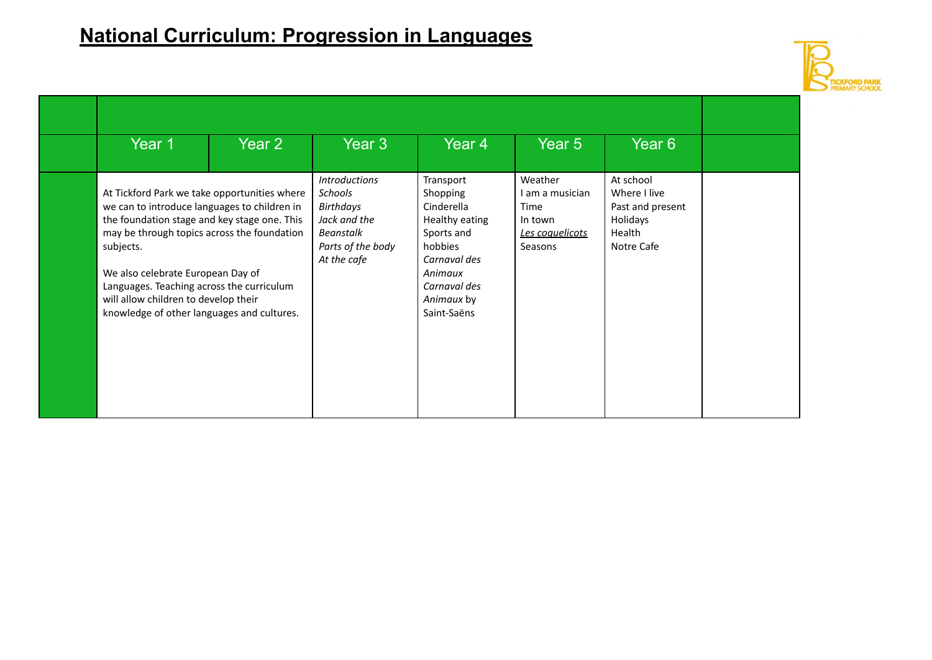

| Year 1                                                                                                                                                                                                                                                                                                                                                                           | Year 2<br>Year 3                                                                                                     | Year <sub>4</sub>                                                                                                                                      | Year 5                                                                             | Year <sub>6</sub>                                                                 |
|----------------------------------------------------------------------------------------------------------------------------------------------------------------------------------------------------------------------------------------------------------------------------------------------------------------------------------------------------------------------------------|----------------------------------------------------------------------------------------------------------------------|--------------------------------------------------------------------------------------------------------------------------------------------------------|------------------------------------------------------------------------------------|-----------------------------------------------------------------------------------|
| At Tickford Park we take opportunities where<br>we can to introduce languages to children in<br>the foundation stage and key stage one. This<br>may be through topics across the foundation<br>subjects.<br>We also celebrate European Day of<br>Languages. Teaching across the curriculum<br>will allow children to develop their<br>knowledge of other languages and cultures. | <b>Introductions</b><br><b>Schools</b><br>Birthdays<br>Jack and the<br>Beanstalk<br>Parts of the body<br>At the cafe | Transport<br>Shopping<br>Cinderella<br>Healthy eating<br>Sports and<br>hobbies<br>Carnaval des<br>Animaux<br>Carnaval des<br>Animaux by<br>Saint-Saëns | Weather<br>I am a musician<br>Time<br>In town<br><u>Les coquelicots</u><br>Seasons | At school<br>Where I live<br>Past and present<br>Holidays<br>Health<br>Notre Cafe |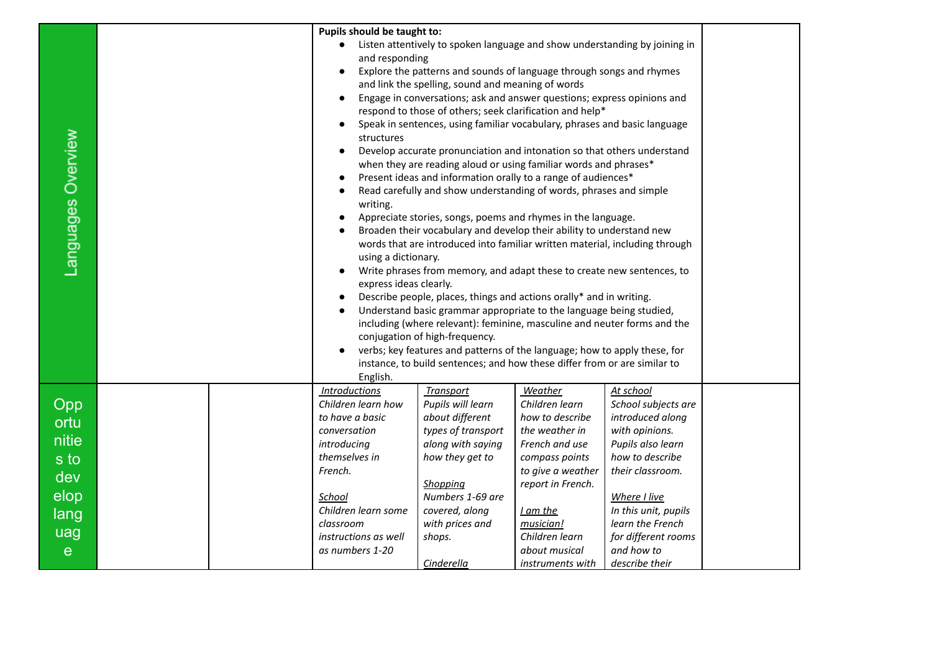|                    |                                                                     | Pupils should be taught to:                                                                                                  |                                                                      |                                        |                      |  |  |
|--------------------|---------------------------------------------------------------------|------------------------------------------------------------------------------------------------------------------------------|----------------------------------------------------------------------|----------------------------------------|----------------------|--|--|
|                    |                                                                     | Listen attentively to spoken language and show understanding by joining in                                                   |                                                                      |                                        |                      |  |  |
|                    |                                                                     | and responding                                                                                                               |                                                                      |                                        |                      |  |  |
|                    |                                                                     | Explore the patterns and sounds of language through songs and rhymes                                                         |                                                                      |                                        |                      |  |  |
|                    |                                                                     | and link the spelling, sound and meaning of words<br>Engage in conversations; ask and answer questions; express opinions and |                                                                      |                                        |                      |  |  |
|                    |                                                                     |                                                                                                                              |                                                                      |                                        |                      |  |  |
|                    |                                                                     | respond to those of others; seek clarification and help*                                                                     |                                                                      |                                        |                      |  |  |
|                    |                                                                     | Speak in sentences, using familiar vocabulary, phrases and basic language<br>structures                                      |                                                                      |                                        |                      |  |  |
|                    |                                                                     | Develop accurate pronunciation and intonation so that others understand<br>$\bullet$                                         |                                                                      |                                        |                      |  |  |
|                    |                                                                     | when they are reading aloud or using familiar words and phrases*                                                             |                                                                      |                                        |                      |  |  |
|                    |                                                                     |                                                                                                                              | Present ideas and information orally to a range of audiences*        |                                        |                      |  |  |
| Languages Overview |                                                                     | Read carefully and show understanding of words, phrases and simple<br>writing.                                               |                                                                      |                                        |                      |  |  |
|                    |                                                                     |                                                                                                                              | Appreciate stories, songs, poems and rhymes in the language.         |                                        |                      |  |  |
|                    |                                                                     |                                                                                                                              | Broaden their vocabulary and develop their ability to understand new |                                        |                      |  |  |
|                    |                                                                     | words that are introduced into familiar written material, including through                                                  |                                                                      |                                        |                      |  |  |
|                    |                                                                     | using a dictionary.                                                                                                          |                                                                      |                                        |                      |  |  |
|                    |                                                                     | Write phrases from memory, and adapt these to create new sentences, to                                                       |                                                                      |                                        |                      |  |  |
|                    | express ideas clearly.                                              |                                                                                                                              |                                                                      |                                        |                      |  |  |
|                    | Describe people, places, things and actions orally* and in writing. |                                                                                                                              |                                                                      |                                        |                      |  |  |
|                    | Understand basic grammar appropriate to the language being studied, |                                                                                                                              |                                                                      |                                        |                      |  |  |
|                    |                                                                     | including (where relevant): feminine, masculine and neuter forms and the<br>conjugation of high-frequency.                   |                                                                      |                                        |                      |  |  |
|                    |                                                                     | verbs; key features and patterns of the language; how to apply these, for                                                    |                                                                      |                                        |                      |  |  |
|                    |                                                                     | instance, to build sentences; and how these differ from or are similar to                                                    |                                                                      |                                        |                      |  |  |
|                    |                                                                     | English.                                                                                                                     |                                                                      |                                        |                      |  |  |
|                    |                                                                     | <b>Introductions</b>                                                                                                         | <b>Transport</b>                                                     | <b>Weather</b>                         | At school            |  |  |
| Opp                |                                                                     | Children learn how                                                                                                           | Pupils will learn                                                    | Children learn                         | School subjects are  |  |  |
| ortu               |                                                                     | to have a basic                                                                                                              | about different                                                      | how to describe                        | introduced along     |  |  |
| nitie              |                                                                     | conversation                                                                                                                 | types of transport                                                   | the weather in                         | with opinions.       |  |  |
|                    |                                                                     | introducing                                                                                                                  | along with saying                                                    | French and use                         | Pupils also learn    |  |  |
| s to               |                                                                     | themselves in                                                                                                                | how they get to                                                      | compass points                         | how to describe      |  |  |
| dev                |                                                                     | French.                                                                                                                      | Shopping                                                             | to give a weather<br>report in French. | their classroom.     |  |  |
| elop               |                                                                     | School                                                                                                                       | Numbers 1-69 are                                                     |                                        | Where I live         |  |  |
| lang               |                                                                     | Children learn some                                                                                                          | covered, along                                                       | <u>I am the</u>                        | In this unit, pupils |  |  |
|                    |                                                                     | classroom                                                                                                                    | with prices and                                                      | musician!                              | learn the French     |  |  |
| uag                |                                                                     | instructions as well                                                                                                         | shops.                                                               | Children learn                         | for different rooms  |  |  |
| e                  |                                                                     | as numbers 1-20                                                                                                              |                                                                      | about musical                          | and how to           |  |  |
|                    |                                                                     |                                                                                                                              | Cinderella                                                           | instruments with                       | describe their       |  |  |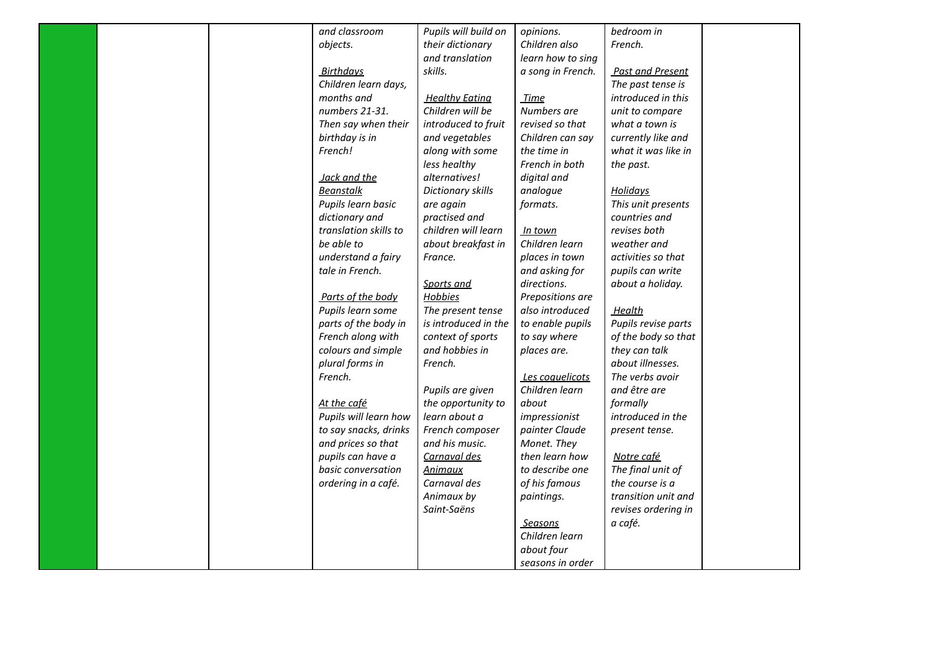|  | and classroom         | Pupils will build on  | opinions.         | bedroom in              |  |
|--|-----------------------|-----------------------|-------------------|-------------------------|--|
|  | objects.              | their dictionary      | Children also     | French.                 |  |
|  |                       | and translation       | learn how to sing |                         |  |
|  | <b>Birthdays</b>      | skills.               | a song in French. | <b>Past and Present</b> |  |
|  | Children learn days,  |                       |                   | The past tense is       |  |
|  | months and            | <b>Healthy Eating</b> | <b>Time</b>       | introduced in this      |  |
|  | numbers 21-31.        | Children will be      | Numbers are       | unit to compare         |  |
|  | Then say when their   | introduced to fruit   | revised so that   | what a town is          |  |
|  | birthday is in        | and vegetables        | Children can say  | currently like and      |  |
|  | French!               | along with some       | the time in       | what it was like in     |  |
|  |                       | less healthy          | French in both    | the past.               |  |
|  | Jack and the          | alternatives!         | digital and       |                         |  |
|  | <b>Beanstalk</b>      | Dictionary skills     | analogue          | <b>Holidays</b>         |  |
|  | Pupils learn basic    | are again             | formats.          | This unit presents      |  |
|  | dictionary and        | practised and         |                   | countries and           |  |
|  | translation skills to | children will learn   | In town           | revises both            |  |
|  | be able to            | about breakfast in    | Children learn    | weather and             |  |
|  | understand a fairy    | France.               | places in town    | activities so that      |  |
|  | tale in French.       |                       | and asking for    | pupils can write        |  |
|  |                       | Sports and            | directions.       | about a holiday.        |  |
|  | Parts of the body     | <b>Hobbies</b>        | Prepositions are  |                         |  |
|  | Pupils learn some     | The present tense     | also introduced   | <u>Health</u>           |  |
|  | parts of the body in  | is introduced in the  | to enable pupils  | Pupils revise parts     |  |
|  | French along with     | context of sports     | to say where      | of the body so that     |  |
|  | colours and simple    | and hobbies in        | places are.       | they can talk           |  |
|  | plural forms in       | French.               |                   | about illnesses.        |  |
|  | French.               |                       | Les coquelicots   | The verbs avoir         |  |
|  |                       | Pupils are given      | Children learn    | and être are            |  |
|  | At the café           | the opportunity to    | about             | formally                |  |
|  | Pupils will learn how | learn about a         | impressionist     | introduced in the       |  |
|  | to say snacks, drinks | French composer       | painter Claude    | present tense.          |  |
|  | and prices so that    | and his music.        | Monet. They       |                         |  |
|  | pupils can have a     | Carnaval des          | then learn how    | Notre café              |  |
|  | basic conversation    | <u>Animaux</u>        | to describe one   | The final unit of       |  |
|  | ordering in a café.   | Carnaval des          | of his famous     | the course is a         |  |
|  |                       | Animaux by            | paintings.        | transition unit and     |  |
|  |                       | Saint-Saëns           |                   | revises ordering in     |  |
|  |                       |                       | <u>Seasons</u>    | a café.                 |  |
|  |                       |                       | Children learn    |                         |  |
|  |                       |                       | about four        |                         |  |
|  |                       |                       | seasons in order  |                         |  |